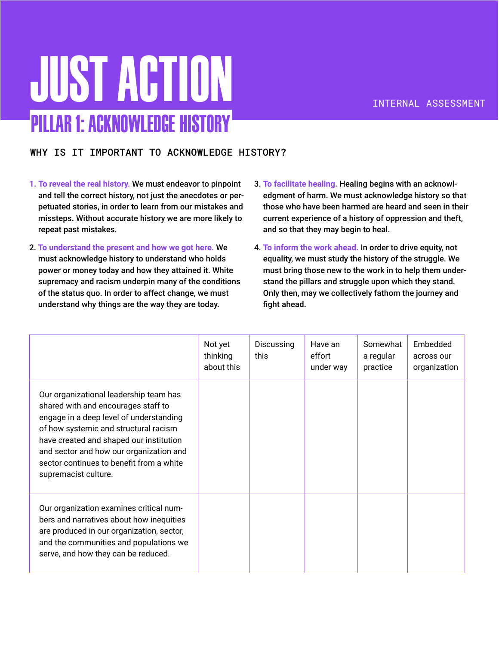## Just Action Pillar 1: Acknowledge History

### WHY IS IT IMPORTANT TO ACKNOWLEDGE HISTORY?

- **1. To reveal the real history.** We must endeavor to pinpoint and tell the correct history, not just the anecdotes or perpetuated stories, in order to learn from our mistakes and missteps. Without accurate history we are more likely to repeat past mistakes.
- 2. **To understand the present and how we got here.** We must acknowledge history to understand who holds power or money today and how they attained it. White supremacy and racism underpin many of the conditions of the status quo. In order to affect change, we must understand why things are the way they are today.
- 3. **To facilitate healing.** Healing begins with an acknowledgment of harm. We must acknowledge history so that those who have been harmed are heard and seen in their current experience of a history of oppression and theft, and so that they may begin to heal.
- 4. **To inform the work ahead.** In order to drive equity, not equality, we must study the history of the struggle. We must bring those new to the work in to help them understand the pillars and struggle upon which they stand. Only then, may we collectively fathom the journey and fight ahead.

|                                                                                                                                                                                                                                                                                                                             | Not yet<br>thinking<br>about this | Discussing<br>this | Have an<br>effort<br>under way | Somewhat<br>a regular<br>practice | Embedded<br>across our<br>organization |
|-----------------------------------------------------------------------------------------------------------------------------------------------------------------------------------------------------------------------------------------------------------------------------------------------------------------------------|-----------------------------------|--------------------|--------------------------------|-----------------------------------|----------------------------------------|
| Our organizational leadership team has<br>shared with and encourages staff to<br>engage in a deep level of understanding<br>of how systemic and structural racism<br>have created and shaped our institution<br>and sector and how our organization and<br>sector continues to benefit from a white<br>supremacist culture. |                                   |                    |                                |                                   |                                        |
| Our organization examines critical num-<br>bers and narratives about how inequities<br>are produced in our organization, sector,<br>and the communities and populations we<br>serve, and how they can be reduced.                                                                                                           |                                   |                    |                                |                                   |                                        |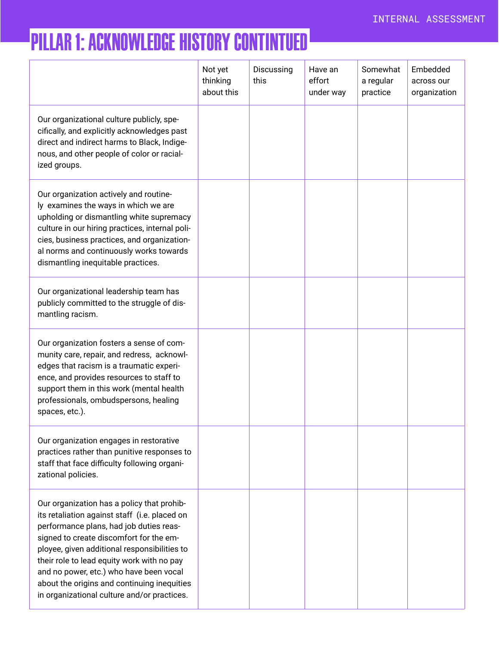### Pillar 1: Acknowledge History Contintued

|                                                                                                                                                                                                                                                                                                                                                                                                                          | Not yet<br>thinking<br>about this | Discussing<br>this | Have an<br>effort<br>under way | Somewhat<br>a regular<br>practice | Embedded<br>across our<br>organization |
|--------------------------------------------------------------------------------------------------------------------------------------------------------------------------------------------------------------------------------------------------------------------------------------------------------------------------------------------------------------------------------------------------------------------------|-----------------------------------|--------------------|--------------------------------|-----------------------------------|----------------------------------------|
| Our organizational culture publicly, spe-<br>cifically, and explicitly acknowledges past<br>direct and indirect harms to Black, Indige-<br>nous, and other people of color or racial-<br>ized groups.                                                                                                                                                                                                                    |                                   |                    |                                |                                   |                                        |
| Our organization actively and routine-<br>ly examines the ways in which we are<br>upholding or dismantling white supremacy<br>culture in our hiring practices, internal poli-<br>cies, business practices, and organization-<br>al norms and continuously works towards<br>dismantling inequitable practices.                                                                                                            |                                   |                    |                                |                                   |                                        |
| Our organizational leadership team has<br>publicly committed to the struggle of dis-<br>mantling racism.                                                                                                                                                                                                                                                                                                                 |                                   |                    |                                |                                   |                                        |
| Our organization fosters a sense of com-<br>munity care, repair, and redress, acknowl-<br>edges that racism is a traumatic experi-<br>ence, and provides resources to staff to<br>support them in this work (mental health<br>professionals, ombudspersons, healing<br>spaces, etc.).                                                                                                                                    |                                   |                    |                                |                                   |                                        |
| Our organization engages in restorative<br>practices rather than punitive responses to<br>staff that face difficulty following organi-<br>zational policies.                                                                                                                                                                                                                                                             |                                   |                    |                                |                                   |                                        |
| Our organization has a policy that prohib-<br>its retaliation against staff (i.e. placed on<br>performance plans, had job duties reas-<br>signed to create discomfort for the em-<br>ployee, given additional responsibilities to<br>their role to lead equity work with no pay<br>and no power, etc.) who have been vocal<br>about the origins and continuing inequities<br>in organizational culture and/or practices. |                                   |                    |                                |                                   |                                        |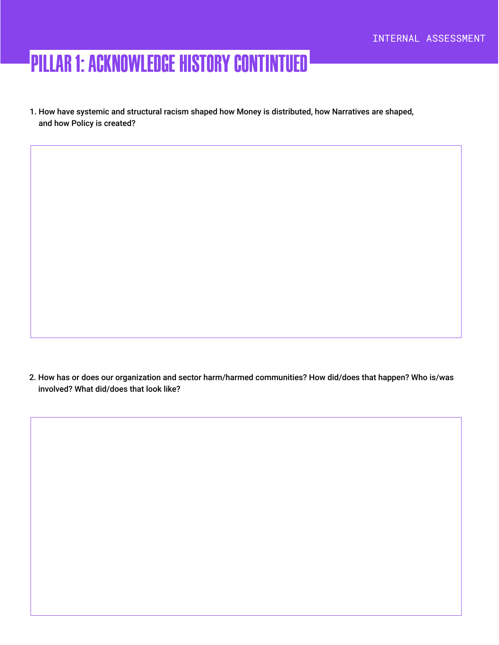### Pillar 1: Acknowledge History Contintued

1. How have systemic and structural racism shaped how Money is distributed, how Narratives are shaped, and how Policy is created?

2. How has or does our organization and sector harm/harmed communities? How did/does that happen? Who is/was involved? What did/does that look like?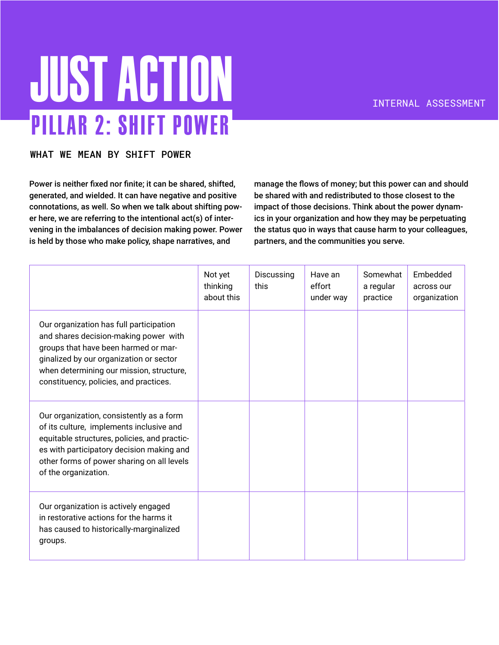# **JUST ACTION** Pillar 2: Shift Power

#### WHAT WE MEAN BY SHIFT POWER

Power is neither fixed nor finite; it can be shared, shifted, generated, and wielded. It can have negative and positive connotations, as well. So when we talk about shifting power here, we are referring to the intentional act(s) of intervening in the imbalances of decision making power. Power is held by those who make policy, shape narratives, and

manage the flows of money; but this power can and should be shared with and redistributed to those closest to the impact of those decisions. Think about the power dynamics in your organization and how they may be perpetuating the status quo in ways that cause harm to your colleagues, partners, and the communities you serve.

|                                                                                                                                                                                                                                                           | Not yet<br>thinking<br>about this | Discussing<br>this | Have an<br>effort<br>under way | Somewhat<br>a regular<br>practice | Embedded<br>across our<br>organization |
|-----------------------------------------------------------------------------------------------------------------------------------------------------------------------------------------------------------------------------------------------------------|-----------------------------------|--------------------|--------------------------------|-----------------------------------|----------------------------------------|
| Our organization has full participation<br>and shares decision-making power with<br>groups that have been harmed or mar-<br>ginalized by our organization or sector<br>when determining our mission, structure,<br>constituency, policies, and practices. |                                   |                    |                                |                                   |                                        |
| Our organization, consistently as a form<br>of its culture, implements inclusive and<br>equitable structures, policies, and practic-<br>es with participatory decision making and<br>other forms of power sharing on all levels<br>of the organization.   |                                   |                    |                                |                                   |                                        |
| Our organization is actively engaged<br>in restorative actions for the harms it<br>has caused to historically-marginalized<br>groups.                                                                                                                     |                                   |                    |                                |                                   |                                        |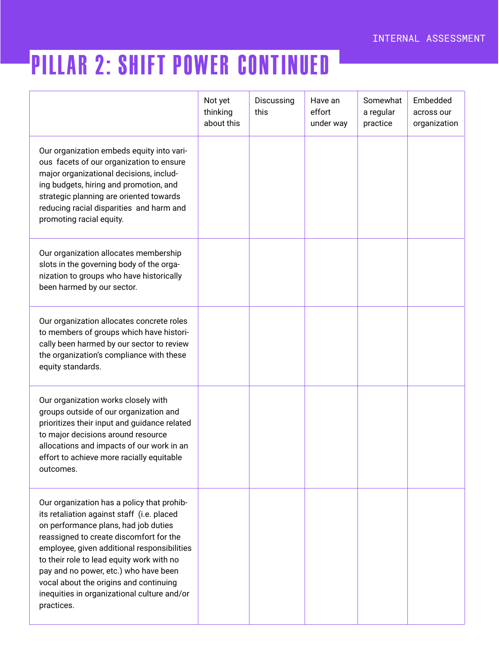## Pillar 2: Shift Power continued

|                                                                                                                                                                                                                                                                                                                                                                                                                         | Not yet<br>thinking<br>about this | Discussing<br>this | Have an<br>effort<br>under way | Somewhat<br>a regular<br>practice | Embedded<br>across our<br>organization |
|-------------------------------------------------------------------------------------------------------------------------------------------------------------------------------------------------------------------------------------------------------------------------------------------------------------------------------------------------------------------------------------------------------------------------|-----------------------------------|--------------------|--------------------------------|-----------------------------------|----------------------------------------|
| Our organization embeds equity into vari-<br>ous facets of our organization to ensure<br>major organizational decisions, includ-<br>ing budgets, hiring and promotion, and<br>strategic planning are oriented towards<br>reducing racial disparities and harm and<br>promoting racial equity.                                                                                                                           |                                   |                    |                                |                                   |                                        |
| Our organization allocates membership<br>slots in the governing body of the orga-<br>nization to groups who have historically<br>been harmed by our sector.                                                                                                                                                                                                                                                             |                                   |                    |                                |                                   |                                        |
| Our organization allocates concrete roles<br>to members of groups which have histori-<br>cally been harmed by our sector to review<br>the organization's compliance with these<br>equity standards.                                                                                                                                                                                                                     |                                   |                    |                                |                                   |                                        |
| Our organization works closely with<br>groups outside of our organization and<br>prioritizes their input and guidance related<br>to major decisions around resource<br>allocations and impacts of our work in an<br>effort to achieve more racially equitable<br>outcomes.                                                                                                                                              |                                   |                    |                                |                                   |                                        |
| Our organization has a policy that prohib-<br>its retaliation against staff (i.e. placed<br>on performance plans, had job duties<br>reassigned to create discomfort for the<br>employee, given additional responsibilities<br>to their role to lead equity work with no<br>pay and no power, etc.) who have been<br>vocal about the origins and continuing<br>inequities in organizational culture and/or<br>practices. |                                   |                    |                                |                                   |                                        |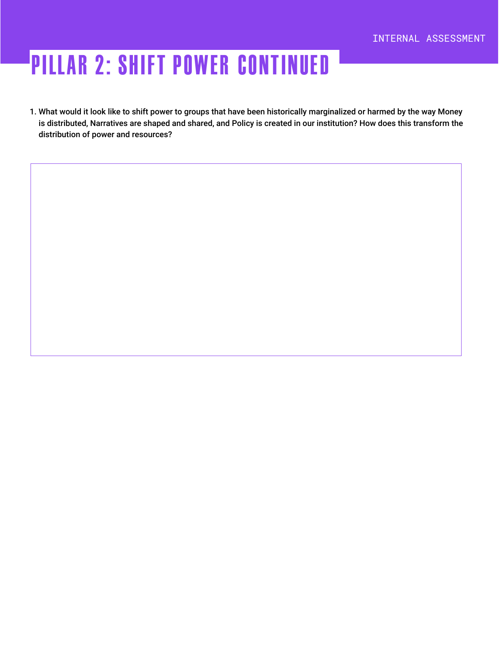## Pillar 2: Shift Power continued

1. What would it look like to shift power to groups that have been historically marginalized or harmed by the way Money is distributed, Narratives are shaped and shared, and Policy is created in our institution? How does this transform the distribution of power and resources?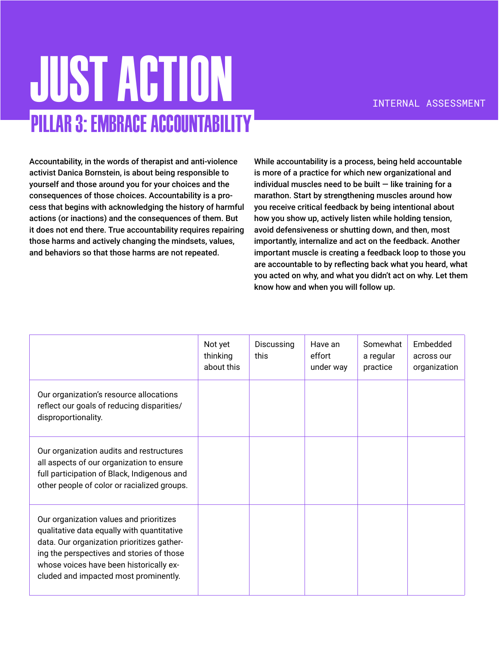## **JUST ACTION** Pillar 3: Embrace Accountability

Accountability, in the words of therapist and anti-violence activist Danica Bornstein, is about being responsible to yourself and those around you for your choices and the consequences of those choices. Accountability is a process that begins with acknowledging the history of harmful actions (or inactions) and the consequences of them. But it does not end there. True accountability requires repairing those harms and actively changing the mindsets, values, and behaviors so that those harms are not repeated.

While accountability is a process, being held accountable is more of a practice for which new organizational and individual muscles need to be built  $-$  like training for a marathon. Start by strengthening muscles around how you receive critical feedback by being intentional about how you show up, actively listen while holding tension, avoid defensiveness or shutting down, and then, most importantly, internalize and act on the feedback. Another important muscle is creating a feedback loop to those you are accountable to by reflecting back what you heard, what you acted on why, and what you didn't act on why. Let them know how and when you will follow up.

|                                                                                                                                                                                                                                                                      | Not yet<br>thinking<br>about this | Discussing<br>this | Have an<br>effort<br>under way | Somewhat<br>a regular<br>practice | Embedded<br>across our<br>organization |
|----------------------------------------------------------------------------------------------------------------------------------------------------------------------------------------------------------------------------------------------------------------------|-----------------------------------|--------------------|--------------------------------|-----------------------------------|----------------------------------------|
| Our organization's resource allocations<br>reflect our goals of reducing disparities/<br>disproportionality.                                                                                                                                                         |                                   |                    |                                |                                   |                                        |
| Our organization audits and restructures<br>all aspects of our organization to ensure<br>full participation of Black, Indigenous and<br>other people of color or racialized groups.                                                                                  |                                   |                    |                                |                                   |                                        |
| Our organization values and prioritizes<br>qualitative data equally with quantitative<br>data. Our organization prioritizes gather-<br>ing the perspectives and stories of those<br>whose voices have been historically ex-<br>cluded and impacted most prominently. |                                   |                    |                                |                                   |                                        |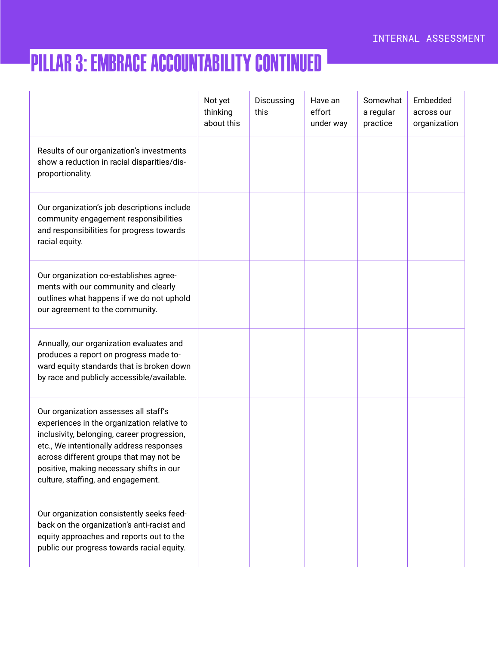### Pillar 3: Embrace Accountability continued

|                                                                                                                                                                                                                                                                                                              | Not yet<br>thinking<br>about this | Discussing<br>this | Have an<br>effort<br>under way | Somewhat<br>a regular<br>practice | Embedded<br>across our<br>organization |
|--------------------------------------------------------------------------------------------------------------------------------------------------------------------------------------------------------------------------------------------------------------------------------------------------------------|-----------------------------------|--------------------|--------------------------------|-----------------------------------|----------------------------------------|
| Results of our organization's investments<br>show a reduction in racial disparities/dis-<br>proportionality.                                                                                                                                                                                                 |                                   |                    |                                |                                   |                                        |
| Our organization's job descriptions include<br>community engagement responsibilities<br>and responsibilities for progress towards<br>racial equity.                                                                                                                                                          |                                   |                    |                                |                                   |                                        |
| Our organization co-establishes agree-<br>ments with our community and clearly<br>outlines what happens if we do not uphold<br>our agreement to the community.                                                                                                                                               |                                   |                    |                                |                                   |                                        |
| Annually, our organization evaluates and<br>produces a report on progress made to-<br>ward equity standards that is broken down<br>by race and publicly accessible/available.                                                                                                                                |                                   |                    |                                |                                   |                                        |
| Our organization assesses all staff's<br>experiences in the organization relative to<br>inclusivity, belonging, career progression,<br>etc., We intentionally address responses<br>across different groups that may not be<br>positive, making necessary shifts in our<br>culture, staffing, and engagement. |                                   |                    |                                |                                   |                                        |
| Our organization consistently seeks feed-<br>back on the organization's anti-racist and<br>equity approaches and reports out to the<br>public our progress towards racial equity.                                                                                                                            |                                   |                    |                                |                                   |                                        |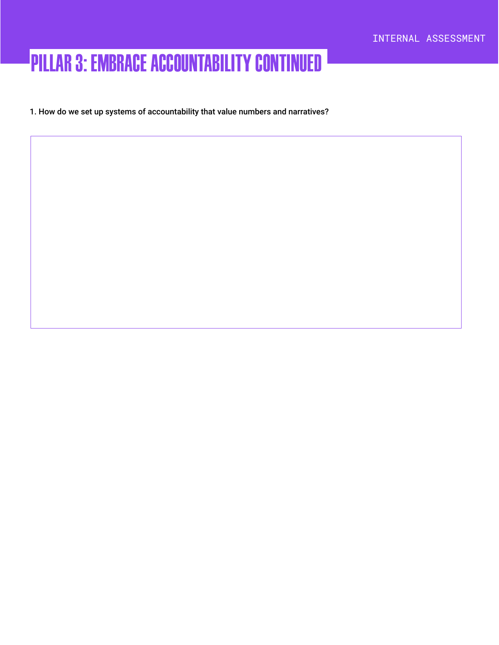### Pillar 3: Embrace Accountability continued

1. How do we set up systems of accountability that value numbers and narratives?